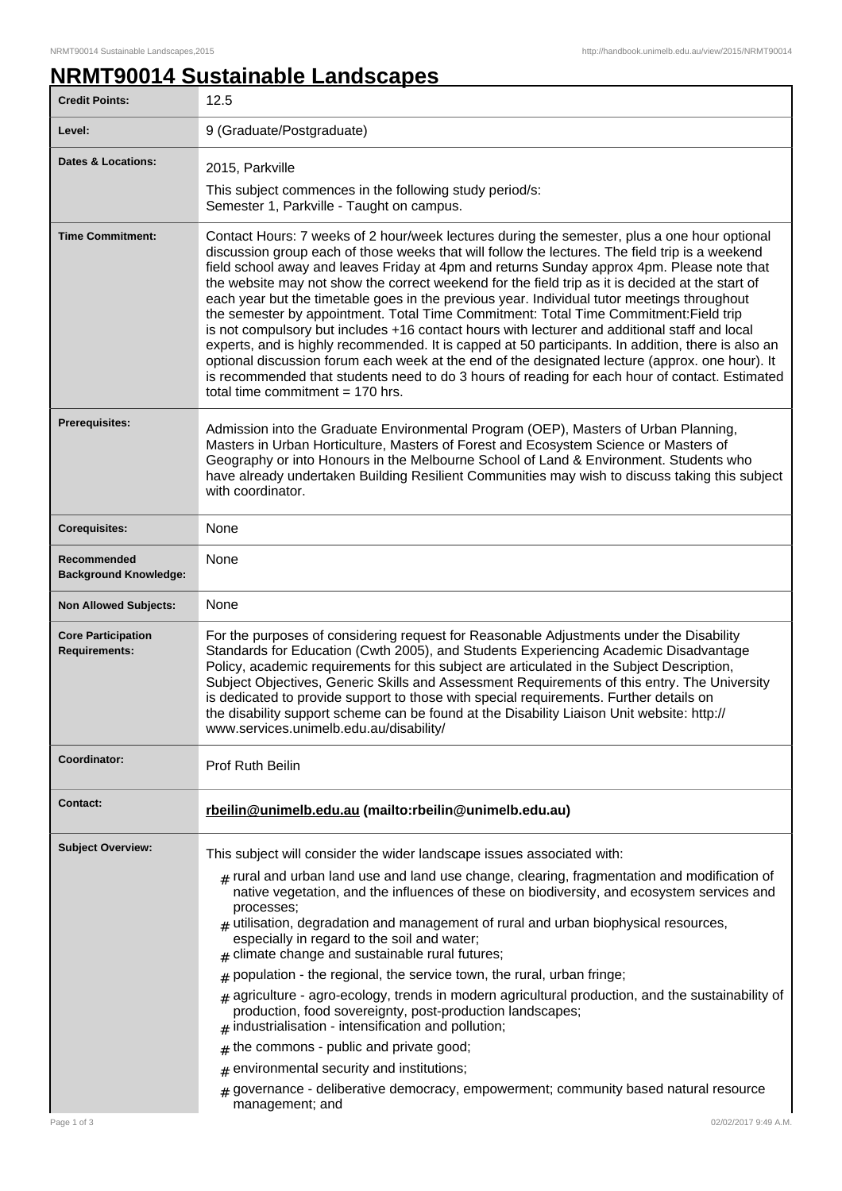## **NRMT90014 Sustainable Landscapes**

| <b>Credit Points:</b>                             | 12.5                                                                                                                                                                                                                                                                                                                                                                                                                                                                                                                                                                                                                                                                                                                                                                                                                                                                                                                                                                                                                                        |
|---------------------------------------------------|---------------------------------------------------------------------------------------------------------------------------------------------------------------------------------------------------------------------------------------------------------------------------------------------------------------------------------------------------------------------------------------------------------------------------------------------------------------------------------------------------------------------------------------------------------------------------------------------------------------------------------------------------------------------------------------------------------------------------------------------------------------------------------------------------------------------------------------------------------------------------------------------------------------------------------------------------------------------------------------------------------------------------------------------|
| Level:                                            | 9 (Graduate/Postgraduate)                                                                                                                                                                                                                                                                                                                                                                                                                                                                                                                                                                                                                                                                                                                                                                                                                                                                                                                                                                                                                   |
| <b>Dates &amp; Locations:</b>                     | 2015, Parkville                                                                                                                                                                                                                                                                                                                                                                                                                                                                                                                                                                                                                                                                                                                                                                                                                                                                                                                                                                                                                             |
|                                                   | This subject commences in the following study period/s:<br>Semester 1, Parkville - Taught on campus.                                                                                                                                                                                                                                                                                                                                                                                                                                                                                                                                                                                                                                                                                                                                                                                                                                                                                                                                        |
| <b>Time Commitment:</b>                           | Contact Hours: 7 weeks of 2 hour/week lectures during the semester, plus a one hour optional<br>discussion group each of those weeks that will follow the lectures. The field trip is a weekend<br>field school away and leaves Friday at 4pm and returns Sunday approx 4pm. Please note that<br>the website may not show the correct weekend for the field trip as it is decided at the start of<br>each year but the timetable goes in the previous year. Individual tutor meetings throughout<br>the semester by appointment. Total Time Commitment: Total Time Commitment: Field trip<br>is not compulsory but includes +16 contact hours with lecturer and additional staff and local<br>experts, and is highly recommended. It is capped at 50 participants. In addition, there is also an<br>optional discussion forum each week at the end of the designated lecture (approx. one hour). It<br>is recommended that students need to do 3 hours of reading for each hour of contact. Estimated<br>total time commitment $= 170$ hrs. |
| <b>Prerequisites:</b>                             | Admission into the Graduate Environmental Program (OEP), Masters of Urban Planning,<br>Masters in Urban Horticulture, Masters of Forest and Ecosystem Science or Masters of<br>Geography or into Honours in the Melbourne School of Land & Environment. Students who<br>have already undertaken Building Resilient Communities may wish to discuss taking this subject<br>with coordinator.                                                                                                                                                                                                                                                                                                                                                                                                                                                                                                                                                                                                                                                 |
| <b>Corequisites:</b>                              | None                                                                                                                                                                                                                                                                                                                                                                                                                                                                                                                                                                                                                                                                                                                                                                                                                                                                                                                                                                                                                                        |
| Recommended<br><b>Background Knowledge:</b>       | None                                                                                                                                                                                                                                                                                                                                                                                                                                                                                                                                                                                                                                                                                                                                                                                                                                                                                                                                                                                                                                        |
| <b>Non Allowed Subjects:</b>                      | None                                                                                                                                                                                                                                                                                                                                                                                                                                                                                                                                                                                                                                                                                                                                                                                                                                                                                                                                                                                                                                        |
| <b>Core Participation</b><br><b>Requirements:</b> | For the purposes of considering request for Reasonable Adjustments under the Disability<br>Standards for Education (Cwth 2005), and Students Experiencing Academic Disadvantage<br>Policy, academic requirements for this subject are articulated in the Subject Description,<br>Subject Objectives, Generic Skills and Assessment Requirements of this entry. The University<br>is dedicated to provide support to those with special requirements. Further details on<br>the disability support scheme can be found at the Disability Liaison Unit website: http://<br>www.services.unimelb.edu.au/disability/                                                                                                                                                                                                                                                                                                                                                                                                                            |
| Coordinator:                                      | Prof Ruth Beilin                                                                                                                                                                                                                                                                                                                                                                                                                                                                                                                                                                                                                                                                                                                                                                                                                                                                                                                                                                                                                            |
| <b>Contact:</b>                                   | rbeilin@unimelb.edu.au (mailto:rbeilin@unimelb.edu.au)                                                                                                                                                                                                                                                                                                                                                                                                                                                                                                                                                                                                                                                                                                                                                                                                                                                                                                                                                                                      |
| <b>Subject Overview:</b>                          | This subject will consider the wider landscape issues associated with:<br>$_{\text{\#}}$ rural and urban land use and land use change, clearing, fragmentation and modification of<br>native vegetation, and the influences of these on biodiversity, and ecosystem services and<br>processes;<br>$#$ utilisation, degradation and management of rural and urban biophysical resources,<br>especially in regard to the soil and water;<br>climate change and sustainable rural futures;<br>population - the regional, the service town, the rural, urban fringe;<br>#<br>agriculture - agro-ecology, trends in modern agricultural production, and the sustainability of<br>#<br>production, food sovereignty, post-production landscapes;<br>industrialisation - intensification and pollution;<br>#<br>the commons - public and private good;<br>#<br>environmental security and institutions;<br>#<br>governance - deliberative democracy, empowerment; community based natural resource<br>management; and                              |
| Page 1 of 3                                       | 02/02/2017 9:49 A.M.                                                                                                                                                                                                                                                                                                                                                                                                                                                                                                                                                                                                                                                                                                                                                                                                                                                                                                                                                                                                                        |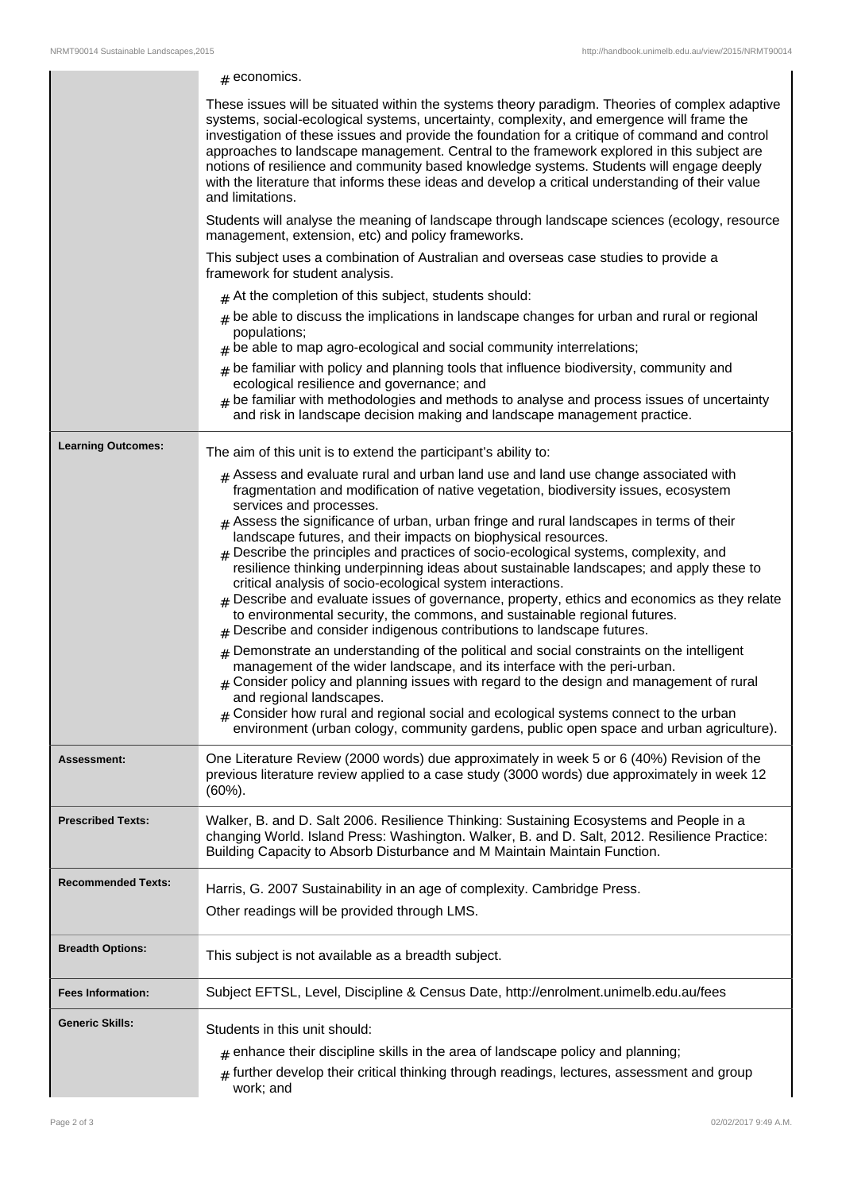|                           | $#$ economics.                                                                                                                                                                                                                                                                                                                                                                                                                                                                                                                                                                                                 |
|---------------------------|----------------------------------------------------------------------------------------------------------------------------------------------------------------------------------------------------------------------------------------------------------------------------------------------------------------------------------------------------------------------------------------------------------------------------------------------------------------------------------------------------------------------------------------------------------------------------------------------------------------|
|                           | These issues will be situated within the systems theory paradigm. Theories of complex adaptive<br>systems, social-ecological systems, uncertainty, complexity, and emergence will frame the<br>investigation of these issues and provide the foundation for a critique of command and control<br>approaches to landscape management. Central to the framework explored in this subject are<br>notions of resilience and community based knowledge systems. Students will engage deeply<br>with the literature that informs these ideas and develop a critical understanding of their value<br>and limitations. |
|                           | Students will analyse the meaning of landscape through landscape sciences (ecology, resource<br>management, extension, etc) and policy frameworks.                                                                                                                                                                                                                                                                                                                                                                                                                                                             |
|                           | This subject uses a combination of Australian and overseas case studies to provide a<br>framework for student analysis.                                                                                                                                                                                                                                                                                                                                                                                                                                                                                        |
|                           | $#$ At the completion of this subject, students should:                                                                                                                                                                                                                                                                                                                                                                                                                                                                                                                                                        |
|                           | $#$ be able to discuss the implications in landscape changes for urban and rural or regional<br>populations;<br>$#$ be able to map agro-ecological and social community interrelations;                                                                                                                                                                                                                                                                                                                                                                                                                        |
|                           | $#$ be familiar with policy and planning tools that influence biodiversity, community and<br>ecological resilience and governance; and<br>$*$ be familiar with methodologies and methods to analyse and process issues of uncertainty<br>and risk in landscape decision making and landscape management practice.                                                                                                                                                                                                                                                                                              |
| <b>Learning Outcomes:</b> | The aim of this unit is to extend the participant's ability to:                                                                                                                                                                                                                                                                                                                                                                                                                                                                                                                                                |
|                           | $#$ Assess and evaluate rural and urban land use and land use change associated with<br>fragmentation and modification of native vegetation, biodiversity issues, ecosystem<br>services and processes.<br>$#$ Assess the significance of urban, urban fringe and rural landscapes in terms of their                                                                                                                                                                                                                                                                                                            |
|                           | landscape futures, and their impacts on biophysical resources.<br>$#$ Describe the principles and practices of socio-ecological systems, complexity, and<br>resilience thinking underpinning ideas about sustainable landscapes; and apply these to<br>critical analysis of socio-ecological system interactions.<br>$#$ Describe and evaluate issues of governance, property, ethics and economics as they relate<br>to environmental security, the commons, and sustainable regional futures.<br>$#$ Describe and consider indigenous contributions to landscape futures.                                    |
|                           | $*$ Demonstrate an understanding of the political and social constraints on the intelligent<br>management of the wider landscape, and its interface with the peri-urban.<br>$_{\#}$ Consider policy and planning issues with regard to the design and management of rural<br>and regional landscapes.<br>$#$ Consider how rural and regional social and ecological systems connect to the urban<br>environment (urban cology, community gardens, public open space and urban agriculture).                                                                                                                     |
| Assessment:               | One Literature Review (2000 words) due approximately in week 5 or 6 (40%) Revision of the<br>previous literature review applied to a case study (3000 words) due approximately in week 12<br>$(60\%)$ .                                                                                                                                                                                                                                                                                                                                                                                                        |
| <b>Prescribed Texts:</b>  | Walker, B. and D. Salt 2006. Resilience Thinking: Sustaining Ecosystems and People in a<br>changing World. Island Press: Washington. Walker, B. and D. Salt, 2012. Resilience Practice:<br>Building Capacity to Absorb Disturbance and M Maintain Maintain Function.                                                                                                                                                                                                                                                                                                                                           |
| <b>Recommended Texts:</b> | Harris, G. 2007 Sustainability in an age of complexity. Cambridge Press.                                                                                                                                                                                                                                                                                                                                                                                                                                                                                                                                       |
|                           | Other readings will be provided through LMS.                                                                                                                                                                                                                                                                                                                                                                                                                                                                                                                                                                   |
|                           |                                                                                                                                                                                                                                                                                                                                                                                                                                                                                                                                                                                                                |
| <b>Breadth Options:</b>   | This subject is not available as a breadth subject.                                                                                                                                                                                                                                                                                                                                                                                                                                                                                                                                                            |
| <b>Fees Information:</b>  | Subject EFTSL, Level, Discipline & Census Date, http://enrolment.unimelb.edu.au/fees                                                                                                                                                                                                                                                                                                                                                                                                                                                                                                                           |
| <b>Generic Skills:</b>    | Students in this unit should:                                                                                                                                                                                                                                                                                                                                                                                                                                                                                                                                                                                  |
|                           |                                                                                                                                                                                                                                                                                                                                                                                                                                                                                                                                                                                                                |
|                           | $#$ enhance their discipline skills in the area of landscape policy and planning;<br>$#$ further develop their critical thinking through readings, lectures, assessment and group<br>work; and                                                                                                                                                                                                                                                                                                                                                                                                                 |